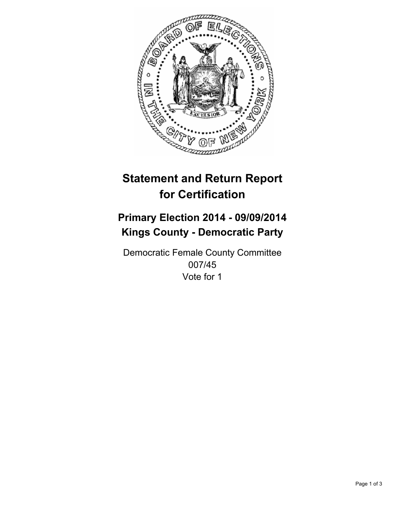

# **Statement and Return Report for Certification**

## **Primary Election 2014 - 09/09/2014 Kings County - Democratic Party**

Democratic Female County Committee 007/45 Vote for 1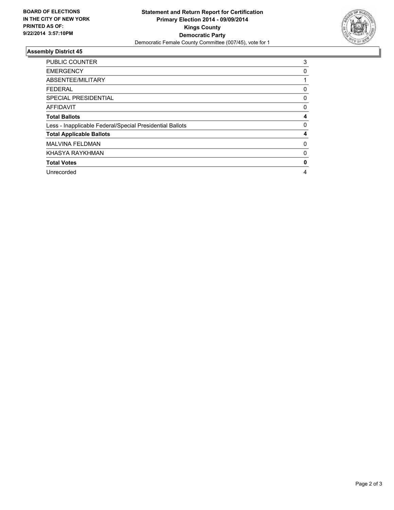

### **Assembly District 45**

| <b>PUBLIC COUNTER</b>                                    | 3            |
|----------------------------------------------------------|--------------|
| <b>EMERGENCY</b>                                         | 0            |
| ABSENTEE/MILITARY                                        |              |
| <b>FEDERAL</b>                                           | 0            |
| <b>SPECIAL PRESIDENTIAL</b>                              | 0            |
| <b>AFFIDAVIT</b>                                         | 0            |
| <b>Total Ballots</b>                                     | 4            |
| Less - Inapplicable Federal/Special Presidential Ballots | 0            |
| <b>Total Applicable Ballots</b>                          | 4            |
| <b>MALVINA FELDMAN</b>                                   | 0            |
| KHASYA RAYKHMAN                                          | 0            |
| <b>Total Votes</b>                                       | $\mathbf{0}$ |
| Unrecorded                                               | 4            |